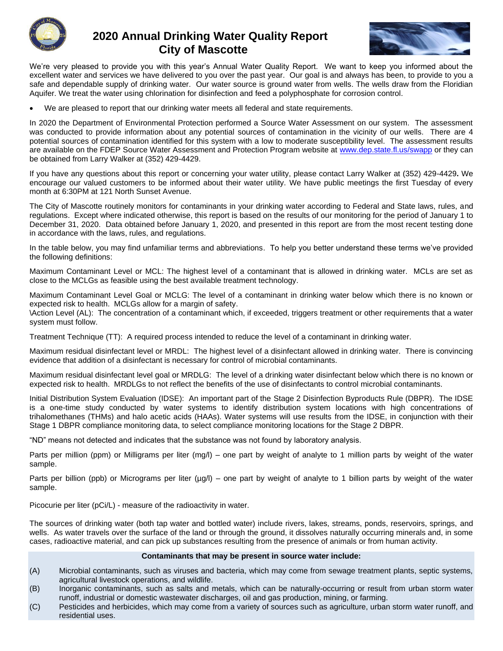

## **2020 Annual Drinking Water Quality Report City of Mascotte**



We're very pleased to provide you with this year's Annual Water Quality Report. We want to keep you informed about the excellent water and services we have delivered to you over the past year. Our goal is and always has been, to provide to you a safe and dependable supply of drinking water. Our water source is ground water from wells. The wells draw from the Floridian Aquifer. We treat the water using chlorination for disinfection and feed a polyphosphate for corrosion control.

• We are pleased to report that our drinking water meets all federal and state requirements.

In 2020 the Department of Environmental Protection performed a Source Water Assessment on our system. The assessment was conducted to provide information about any potential sources of contamination in the vicinity of our wells. There are 4 potential sources of contamination identified for this system with a low to moderate susceptibility level. The assessment results are available on the FDEP Source Water Assessment and Protection Program website at [www.dep.state.fl.us/swapp](http://www.dep.state.fl.us/swapp) or they can be obtained from Larry Walker at (352) 429-4429.

If you have any questions about this report or concerning your water utility, please contact Larry Walker at (352) 429-4429**.** We encourage our valued customers to be informed about their water utility. We have public meetings the first Tuesday of every month at 6:30PM at 121 North Sunset Avenue.

The City of Mascotte routinely monitors for contaminants in your drinking water according to Federal and State laws, rules, and regulations. Except where indicated otherwise, this report is based on the results of our monitoring for the period of January 1 to December 31, 2020. Data obtained before January 1, 2020, and presented in this report are from the most recent testing done in accordance with the laws, rules, and regulations.

In the table below, you may find unfamiliar terms and abbreviations. To help you better understand these terms we've provided the following definitions:

Maximum Contaminant Level or MCL: The highest level of a contaminant that is allowed in drinking water. MCLs are set as close to the MCLGs as feasible using the best available treatment technology.

Maximum Contaminant Level Goal or MCLG: The level of a contaminant in drinking water below which there is no known or expected risk to health. MCLGs allow for a margin of safety.

\Action Level (AL): The concentration of a contaminant which, if exceeded, triggers treatment or other requirements that a water system must follow.

Treatment Technique (TT): A required process intended to reduce the level of a contaminant in drinking water.

Maximum residual disinfectant level or MRDL: The highest level of a disinfectant allowed in drinking water. There is convincing evidence that addition of a disinfectant is necessary for control of microbial contaminants.

Maximum residual disinfectant level goal or MRDLG: The level of a drinking water disinfectant below which there is no known or expected risk to health. MRDLGs to not reflect the benefits of the use of disinfectants to control microbial contaminants.

Initial Distribution System Evaluation (IDSE): An important part of the Stage 2 Disinfection Byproducts Rule (DBPR). The IDSE is a one-time study conducted by water systems to identify distribution system locations with high concentrations of trihalomethanes (THMs) and halo acetic acids (HAAs). Water systems will use results from the IDSE, in conjunction with their Stage 1 DBPR compliance monitoring data, to select compliance monitoring locations for the Stage 2 DBPR.

"ND" means not detected and indicates that the substance was not found by laboratory analysis.

Parts per million (ppm) or Milligrams per liter (mg/l) – one part by weight of analyte to 1 million parts by weight of the water sample.

Parts per billion (ppb) or Micrograms per liter ( $\mu$ g/l) – one part by weight of analyte to 1 billion parts by weight of the water sample.

Picocurie per liter (pCi/L) - measure of the radioactivity in water.

The sources of drinking water (both tap water and bottled water) include rivers, lakes, streams, ponds, reservoirs, springs, and wells. As water travels over the surface of the land or through the ground, it dissolves naturally occurring minerals and, in some cases, radioactive material, and can pick up substances resulting from the presence of animals or from human activity.

## **Contaminants that may be present in source water include:**

- (A) Microbial contaminants, such as viruses and bacteria, which may come from sewage treatment plants, septic systems, agricultural livestock operations, and wildlife.
- (B) Inorganic contaminants, such as salts and metals, which can be naturally-occurring or result from urban storm water runoff, industrial or domestic wastewater discharges, oil and gas production, mining, or farming.
- (C) Pesticides and herbicides, which may come from a variety of sources such as agriculture, urban storm water runoff, and residential uses.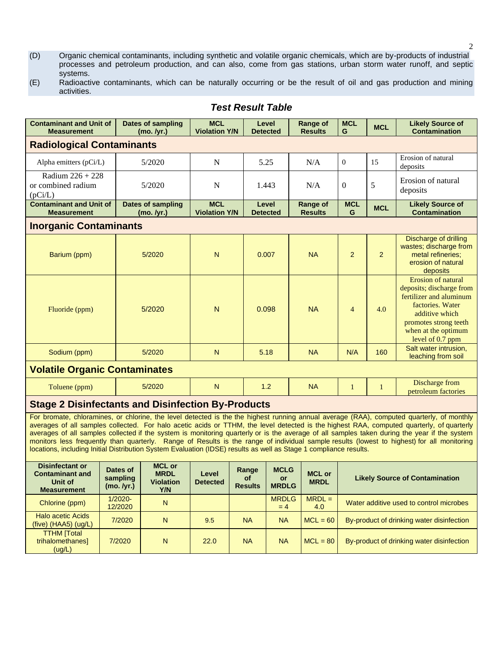- (D) Organic chemical contaminants, including synthetic and volatile organic chemicals, which are by-products of industrial processes and petroleum production, and can also, come from gas stations, urban storm water runoff, and septic systems.
- (E) Radioactive contaminants, which can be naturally occurring or be the result of oil and gas production and mining activities.

| <b>Contaminant and Unit of</b><br><b>Measurement</b>                                                                                                                                                                                                                                                                                                                                                                                                                                                                                                                                                                                                                                                      |                                    | <b>Dates of sampling</b><br>(mo. /yr.)                  | <b>MCL</b><br><b>Violation Y/N</b> |                                 | Level<br><b>Detected</b>                 | <b>Range of</b><br><b>Results</b> | <b>MCL</b><br>G                           | <b>MCL</b>   | <b>Likely Source of</b><br><b>Contamination</b>                                                                                                                                     |  |  |
|-----------------------------------------------------------------------------------------------------------------------------------------------------------------------------------------------------------------------------------------------------------------------------------------------------------------------------------------------------------------------------------------------------------------------------------------------------------------------------------------------------------------------------------------------------------------------------------------------------------------------------------------------------------------------------------------------------------|------------------------------------|---------------------------------------------------------|------------------------------------|---------------------------------|------------------------------------------|-----------------------------------|-------------------------------------------|--------------|-------------------------------------------------------------------------------------------------------------------------------------------------------------------------------------|--|--|
| <b>Radiological Contaminants</b>                                                                                                                                                                                                                                                                                                                                                                                                                                                                                                                                                                                                                                                                          |                                    |                                                         |                                    |                                 |                                          |                                   |                                           |              |                                                                                                                                                                                     |  |  |
| Alpha emitters (pCi/L)                                                                                                                                                                                                                                                                                                                                                                                                                                                                                                                                                                                                                                                                                    |                                    | 5/2020                                                  | $\mathbf N$                        |                                 | 5.25                                     | N/A                               | $\overline{0}$                            | 15           | Erosion of natural<br>deposits                                                                                                                                                      |  |  |
| Radium $226 + 228$<br>or combined radium<br>(pCi/L)                                                                                                                                                                                                                                                                                                                                                                                                                                                                                                                                                                                                                                                       |                                    | 5/2020                                                  | N                                  |                                 | 1.443                                    | N/A                               | $\Omega$                                  | 5            | Erosion of natural<br>deposits                                                                                                                                                      |  |  |
| <b>Contaminant and Unit of</b><br><b>Measurement</b>                                                                                                                                                                                                                                                                                                                                                                                                                                                                                                                                                                                                                                                      |                                    | <b>Dates of sampling</b><br>(mo. /yr.)                  | <b>MCL</b><br><b>Violation Y/N</b> |                                 | Level<br><b>Detected</b>                 | <b>Range of</b><br><b>Results</b> | <b>MCL</b><br>G                           | <b>MCL</b>   | <b>Likely Source of</b><br><b>Contamination</b>                                                                                                                                     |  |  |
| <b>Inorganic Contaminants</b>                                                                                                                                                                                                                                                                                                                                                                                                                                                                                                                                                                                                                                                                             |                                    |                                                         |                                    |                                 |                                          |                                   |                                           |              |                                                                                                                                                                                     |  |  |
| Barium (ppm)                                                                                                                                                                                                                                                                                                                                                                                                                                                                                                                                                                                                                                                                                              |                                    | 5/2020                                                  | N                                  |                                 | 0.007                                    | <b>NA</b>                         | $\overline{2}$                            | 2            | Discharge of drilling<br>wastes; discharge from<br>metal refineries:<br>erosion of natural<br>deposits                                                                              |  |  |
| Fluoride (ppm)                                                                                                                                                                                                                                                                                                                                                                                                                                                                                                                                                                                                                                                                                            |                                    | 5/2020                                                  | N.                                 |                                 | 0.098                                    | <b>NA</b>                         | $\overline{4}$                            | 4.0          | Erosion of natural<br>deposits; discharge from<br>fertilizer and aluminum<br>factories. Water<br>additive which<br>promotes strong teeth<br>when at the optimum<br>level of 0.7 ppm |  |  |
| Sodium (ppm)                                                                                                                                                                                                                                                                                                                                                                                                                                                                                                                                                                                                                                                                                              |                                    | 5/2020                                                  | N                                  |                                 | 5.18                                     | <b>NA</b>                         | N/A                                       | 160          | Salt water intrusion,<br>leaching from soil                                                                                                                                         |  |  |
| <b>Volatile Organic Contaminates</b>                                                                                                                                                                                                                                                                                                                                                                                                                                                                                                                                                                                                                                                                      |                                    |                                                         |                                    |                                 |                                          |                                   |                                           |              |                                                                                                                                                                                     |  |  |
| Toluene (ppm)                                                                                                                                                                                                                                                                                                                                                                                                                                                                                                                                                                                                                                                                                             |                                    | 5/2020                                                  | N                                  |                                 | 1.2                                      | <b>NA</b>                         | $\mathbf{1}$                              | $\mathbf{1}$ | Discharge from<br>petroleum factories                                                                                                                                               |  |  |
| <b>Stage 2 Disinfectants and Disinfection By-Products</b>                                                                                                                                                                                                                                                                                                                                                                                                                                                                                                                                                                                                                                                 |                                    |                                                         |                                    |                                 |                                          |                                   |                                           |              |                                                                                                                                                                                     |  |  |
| For bromate, chloramines, or chlorine, the level detected is the the highest running annual average (RAA), computed quarterly, of monthly<br>averages of all samples collected. For halo acetic acids or TTHM, the level detected is the highest RAA, computed quarterly, of quarterly<br>averages of all samples collected if the system is monitoring quarterly or is the average of all samples taken during the year if the system<br>monitors less frequently than quarterly. Range of Results is the range of individual sample results (lowest to highest) for all monitoring<br>locations, including Initial Distribution System Evaluation (IDSE) results as well as Stage 1 compliance results. |                                    |                                                         |                                    |                                 |                                          |                                   |                                           |              |                                                                                                                                                                                     |  |  |
| <b>Disinfectant or</b><br><b>Contaminant and</b><br>Unit of<br><b>Measurement</b>                                                                                                                                                                                                                                                                                                                                                                                                                                                                                                                                                                                                                         | Dates of<br>sampling<br>(mo. /yr.) | <b>MCL or</b><br><b>MRDL</b><br><b>Violation</b><br>Y/N | Level<br><b>Detected</b>           | Range<br>of .<br><b>Results</b> | <b>MCLG</b><br><b>or</b><br><b>MRDLG</b> | <b>MCL or</b><br><b>MRDL</b>      | <b>Likely Source of Contamination</b>     |              |                                                                                                                                                                                     |  |  |
| Chlorine (ppm)                                                                                                                                                                                                                                                                                                                                                                                                                                                                                                                                                                                                                                                                                            | $1/2020 -$<br>12/2020              | N                                                       |                                    |                                 | <b>MRDLG</b><br>$= 4$                    | $MRDL =$<br>4.0                   | Water additive used to control microbes   |              |                                                                                                                                                                                     |  |  |
| <b>Halo acetic Acids</b><br>(five) (HAA5) (ug/L)                                                                                                                                                                                                                                                                                                                                                                                                                                                                                                                                                                                                                                                          | 7/2020                             | N                                                       | 9.5                                | <b>NA</b>                       | <b>NA</b>                                | $MCL = 60$                        | By-product of drinking water disinfection |              |                                                                                                                                                                                     |  |  |
| <b>TTHM [Total</b><br>trihalomethanes]<br>(ug/L)                                                                                                                                                                                                                                                                                                                                                                                                                                                                                                                                                                                                                                                          | 7/2020                             | N                                                       | 22.0                               | <b>NA</b>                       | <b>NA</b>                                | $MCL = 80$                        |                                           |              | By-product of drinking water disinfection                                                                                                                                           |  |  |

## *Test Result Table*

2